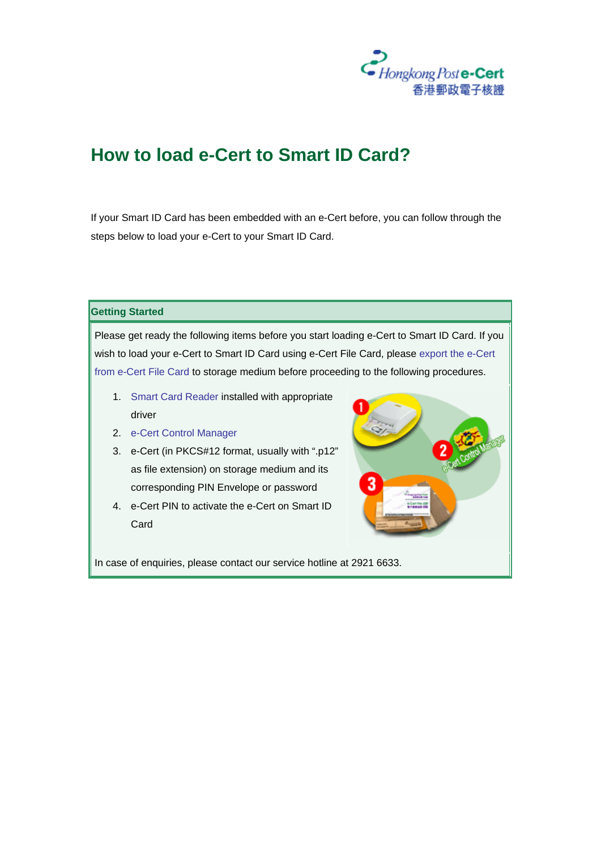

## **How to load e-Cert to Smart ID Card?**

If your Smart ID Card has been embedded with an e-Cert before, you can follow through the steps below to load your e-Cert to your Smart ID Card.

**Getting Started**

Please get ready the following items before you start loading e-Cert to Smart ID Card. If you wish to load your e-Cert to Smart ID Card using e-Cert File Card, please export the e-Cert from e-Cert File Card to storage medium before proceeding to the following procedures.

- 1. Smart Card Reader installed with appropriate driver
- 2. e-Cert Control Manager
- 3. e-Cert (in PKCS#12 format, usually with ".p12" as file extension) on storage medium and its corresponding PIN Envelope or password
- 4. e-Cert PIN to activate the e-Cert on Smart ID Card



In case of enquiries, please contact our service hotline at 2921 6633.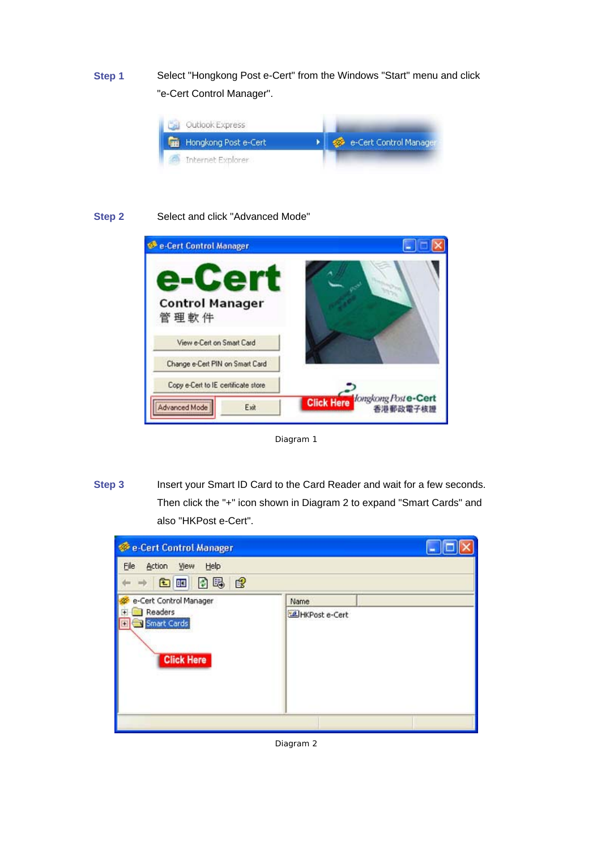**Step 1** Select "Hongkong Post e-Cert" from the Windows "Start" menu and click "e-Cert Control Manager".



## **Step 2** Select and click "Advanced Mode"



Diagram 1

**Step 3** Insert your Smart ID Card to the Card Reader and wait for a few seconds. Then click the "+" icon shown in Diagram 2 to expand "Smart Cards" and also "HKPost e-Cert".



Diagram 2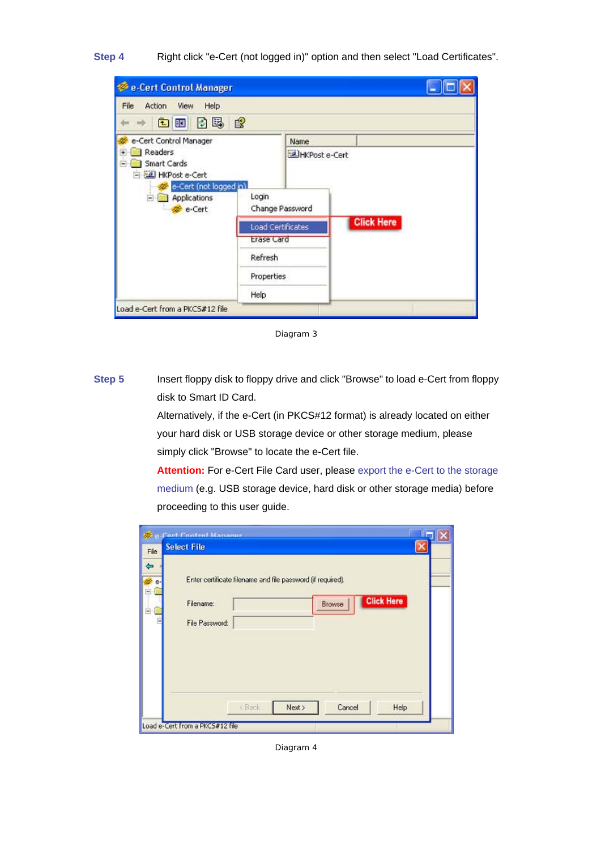**Step 4** Right click "e-Cert (not logged in)" option and then select "Load Certificates".

| <b>Cert Control Manager</b>                                                               |                          |                 |                   |  |
|-------------------------------------------------------------------------------------------|--------------------------|-----------------|-------------------|--|
| File<br><b>Action</b><br>View<br>Help                                                     |                          |                 |                   |  |
| [5] [5]<br>白<br><b>IB</b>                                                                 | $\mathbb{B}$             |                 |                   |  |
| e-Cert Control Manager                                                                    |                          | Name            |                   |  |
| Readers<br>Ŧ<br>Smart Cards<br>$\blacksquare$<br>HKPost e-Cert<br>e-Cert (not logged in). |                          | ELHKPost e-Cert |                   |  |
| Applications<br>圖<br>e-Cert                                                               | Login<br>Change Password |                 |                   |  |
|                                                                                           | Load Certificates        |                 | <b>Click Here</b> |  |
|                                                                                           | <b>Erase Card</b>        |                 |                   |  |
|                                                                                           | Refresh                  |                 |                   |  |
|                                                                                           | <b>Properties</b>        |                 |                   |  |
|                                                                                           | Help                     |                 |                   |  |
| Load e-Cert from a PKCS#12 file                                                           |                          |                 |                   |  |

Diagram 3

**Step 5** Insert floppy disk to floppy drive and click "Browse" to load e-Cert from floppy disk to Smart ID Card.

> Alternatively, if the e-Cert (in PKCS#12 format) is already located on either your hard disk or USB storage device or other storage medium, please simply click "Browse" to locate the e-Cert file.

**Attention:** For e-Cert File Card user, please export the e-Cert to the storage medium (e.g. USB storage device, hard disk or other storage media) before proceeding to this user guide.

| File              | <b>Cort Control Manager</b><br><b>Select File</b>                                                                         |
|-------------------|---------------------------------------------------------------------------------------------------------------------------|
| ⇚<br>e-<br>圖<br>Ξ | Enter certificate filename and file password (if required).<br><b>Click Here</b><br>Filename:<br>Browse<br>File Password: |
|                   | Cancel<br>Help<br>< Back<br>Next ><br>Load e-Cert from a PKCS#12 file                                                     |

Diagram 4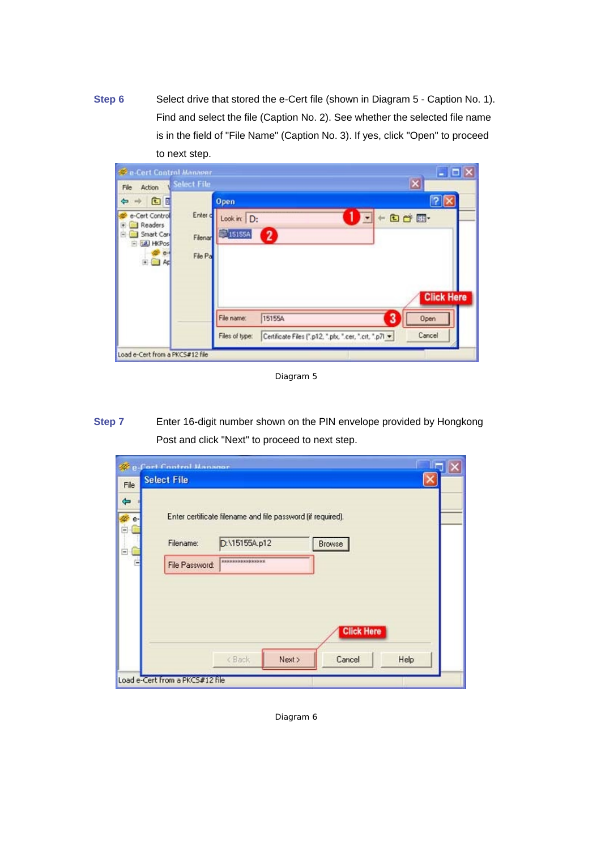**Step 6** Select drive that stored the e-Cert file (shown in Diagram 5 - Caption No. 1). Find and select the file (Caption No. 2). See whether the selected file name is in the field of "File Name" (Caption No. 3). If yes, click "Open" to proceed to next step.

| <b>Cert Control Manager</b><br>Action<br>File                                    | Select File                                                            |                                                                  | $ \Box$ $x$<br>$\vert x \vert$           |
|----------------------------------------------------------------------------------|------------------------------------------------------------------------|------------------------------------------------------------------|------------------------------------------|
| 面面<br>دە<br>e-Cert Control<br>Readers<br>Smart Card<br>E CE HKPos<br>$e-$<br>田園和 | Open.<br>Enter d<br>Look in: D:<br>$\Box$ 15155A<br>Filenar<br>File Pa | $\bullet$                                                        | Od E-                                    |
| Load e-Cert from a PKCS#12 file                                                  | File name:<br>Files of type:                                           | 15155A<br>Certificate Files (".p12, ".pfx, ".cer, ".crt, ".p7l * | <b>Click Here</b><br>3<br>Open<br>Cancel |

Diagram 5

**Step 7** Enter 16-digit number shown on the PIN envelope provided by Hongkong Post and click "Next" to proceed to next step.

|                                                | Cort Control Manager<br><b>Select File</b>                                                                                                            |  |
|------------------------------------------------|-------------------------------------------------------------------------------------------------------------------------------------------------------|--|
| File<br>$\Leftrightarrow$<br>e-<br>Ė<br>Ë<br>٠ | Enter certificate filename and file password (if required).<br>D:\15155A.p12<br>Filename:<br>Browse<br><b>MINIMUM MACHINESS NEW</b><br>File Password: |  |
|                                                | <b>Click Here</b><br>Cancel<br>Help<br><back<br>Next &gt;</back<br>                                                                                   |  |
|                                                | Load e-Cert from a PKC5#12 file                                                                                                                       |  |

Diagram 6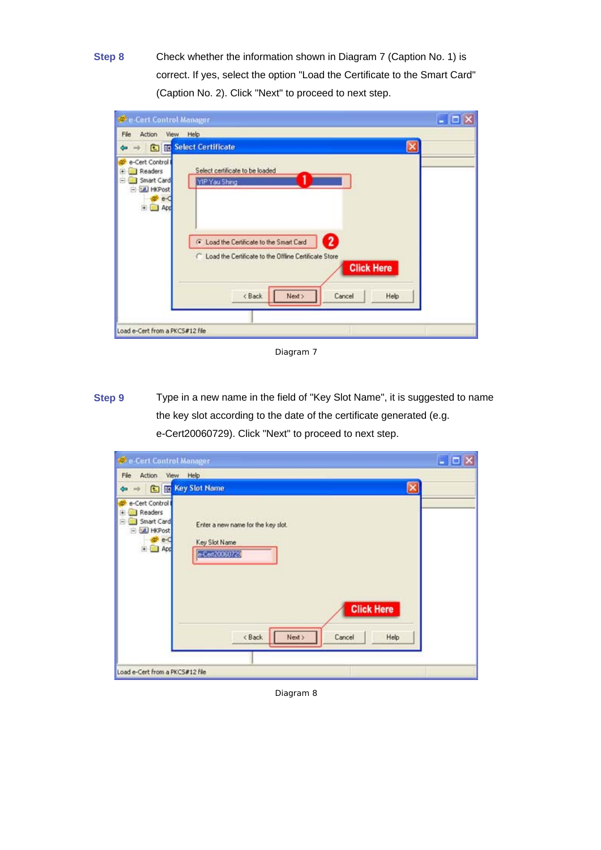**Step 8** Check whether the information shown in Diagram 7 (Caption No. 1) is correct. If yes, select the option "Load the Certificate to the Smart Card" (Caption No. 2). Click "Next" to proceed to next step.

| <b>SC e-Cert Control Manager</b>                                                                                                                                                                                                                                | - 0 |
|-----------------------------------------------------------------------------------------------------------------------------------------------------------------------------------------------------------------------------------------------------------------|-----|
| View Help<br>File<br>Action                                                                                                                                                                                                                                     |     |
| <b>Called</b> Select Certificate                                                                                                                                                                                                                                |     |
| e-Cert Control<br>Select certificate to be loaded<br>Readers<br>Smart Card<br>YIP Yau Shing<br>E LE HKPost<br>App<br>$\overline{2}$<br>6 Load the Certificate to the Smart Card<br>C Load the Certificate to the Offline Certificate Store<br><b>Click Here</b> |     |
| <back<br>Next<br/>Help<br/>Cancel<br/>Load e-Cert from a PKCS#12 file</back<br>                                                                                                                                                                                 |     |

Diagram 7

**Step 9** Type in a new name in the field of "Key Slot Name", it is suggested to name the key slot according to the date of the certificate generated (e.g. e-Cert20060729). Click "Next" to proceed to next step.

| File:<br>Action View Help<br>→ <b>€ Tre</b> Key Slot Name<br>$\leftarrow$                                                                                                                                              |  |
|------------------------------------------------------------------------------------------------------------------------------------------------------------------------------------------------------------------------|--|
|                                                                                                                                                                                                                        |  |
|                                                                                                                                                                                                                        |  |
| e-Cert Control<br>Readers<br>闲<br>Smart Card<br>e<br>Enter a new name for the key slot.<br>E EL HKPost<br>$e-C$<br>Key Slot Name<br>E App<br>e-Cent20060729<br><b>Click Here</b><br>< Back<br>Next ><br>Cancel<br>Help |  |
| Load e-Cert from a PKCS#12 file                                                                                                                                                                                        |  |

Diagram 8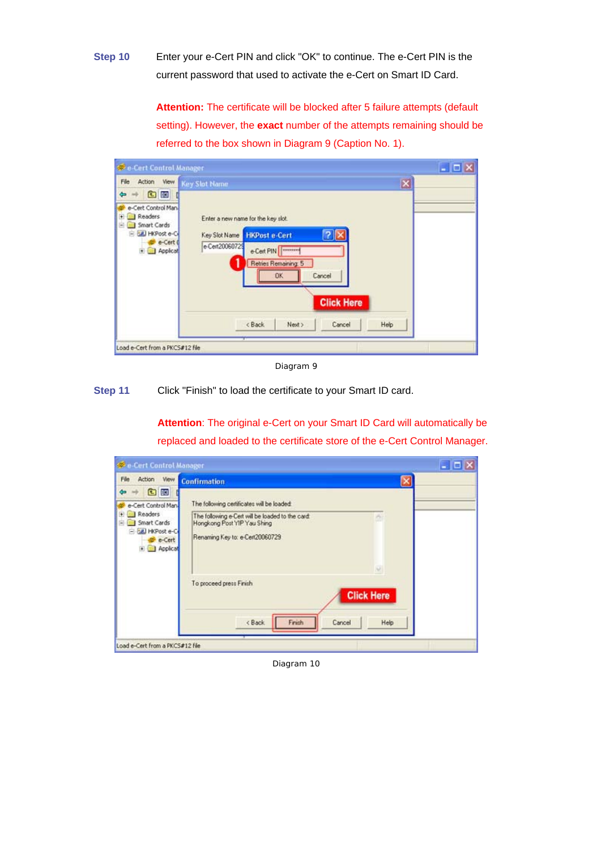**Step 10** Enter your e-Cert PIN and click "OK" to continue. The e-Cert PIN is the current password that used to activate the e-Cert on Smart ID Card.

> **Attention:** The certificate will be blocked after 5 failure attempts (default setting). However, the **exact** number of the attempts remaining should be referred to the box shown in Diagram 9 (Caption No. 1).

| Wew Key Slot Name<br>Action<br>File<br>国田<br>÷<br>e-Cert Control Man<br>Readers<br>$+$<br>Enter a new name for the key slot.<br>Smart Cards<br>e.<br>HKPost e-C<br><b>HKPost e-Cert</b><br>$ ?  \times$<br>Key Slot Name | $\vert \mathbf{x} \vert$ |
|--------------------------------------------------------------------------------------------------------------------------------------------------------------------------------------------------------------------------|--------------------------|
|                                                                                                                                                                                                                          |                          |
| e-Cert 0<br>e-Cert20060729<br>e-Cert PIN<br>Applicat<br>Retries Remaining: 5<br>Cancel<br>OK.<br><b>Click Here</b>                                                                                                       |                          |
| <back<br>Cancel<br/>Next &gt;</back<br>                                                                                                                                                                                  | Help                     |

Diagram 9

**Step 11** Click "Finish" to load the certificate to your Smart ID card.

**Attention**: The original e-Cert on your Smart ID Card will automatically be replaced and loaded to the certificate store of the e-Cert Control Manager.

| Cert Control Manager                                                                                           |                                                                                                                                                                                         | $  D X $ |
|----------------------------------------------------------------------------------------------------------------|-----------------------------------------------------------------------------------------------------------------------------------------------------------------------------------------|----------|
| <b>View</b><br>Action<br>File                                                                                  | <b>Confirmation</b><br>×                                                                                                                                                                |          |
| 国田<br>÷<br>e-Cert Control Man-<br>Readers<br>$+$<br>Smart Cards<br>圖<br>E CAL HKPost e-C<br>e-Cert<br>Applicat | The following certificates will be loaded:<br>The following e-Cert will be loaded to the card:<br>Hongkong Post YIP Yau Shing<br>Renaming Key to: e-Cert20060729<br>$\overline{\omega}$ |          |
| Load e-Cert from a PKCS#12 file                                                                                | To proceed press Finish<br><b>Click Here</b><br>Finish<br><back<br>Cancel<br/>Help</back<br>                                                                                            |          |

Diagram 10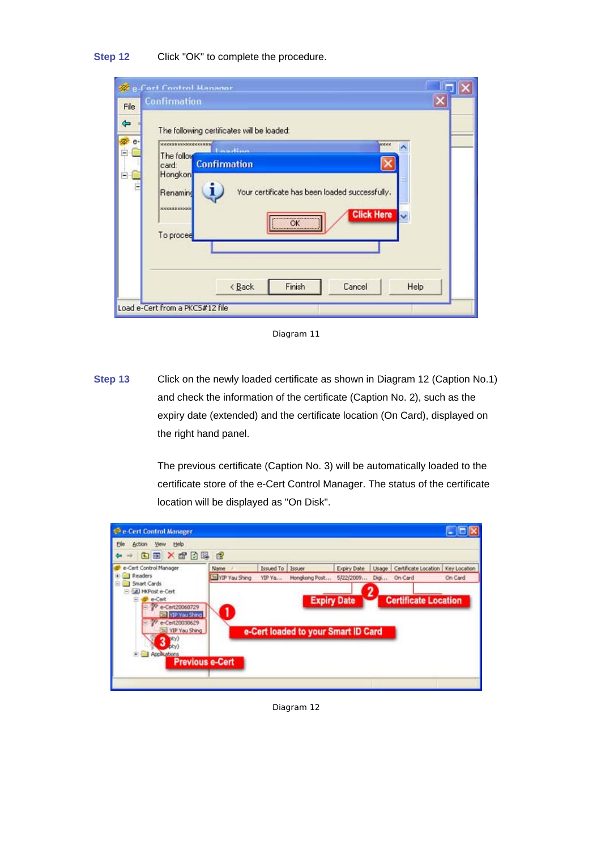| <b>Steffort Control Mananor</b><br><b>Confirmation</b>                                                              |                                                                                                                                                                                                                    |      |
|---------------------------------------------------------------------------------------------------------------------|--------------------------------------------------------------------------------------------------------------------------------------------------------------------------------------------------------------------|------|
| <b>мыслыкасыналыкасыны</b><br>The follow<br>card:<br>Hongkon<br>Renaming<br><b>RECEIPED AND RECEIP</b><br>To procee | The following certificates will be loaded:<br><b>MODER</b><br><b>Londing</b><br><b>Confirmation</b><br>i<br>Your certificate has been loaded successfully.<br><b>Click Here</b><br>---------------------<br>OK<br> |      |
|                                                                                                                     | Cancel<br><back<br>Finish</back<br>                                                                                                                                                                                | Help |

Diagram 11

**Step 13** Click on the newly loaded certificate as shown in Diagram 12 (Caption No.1) and check the information of the certificate (Caption No. 2), such as the expiry date (extended) and the certificate location (On Card), displayed on the right hand panel.

> The previous certificate (Caption No. 3) will be automatically loaded to the certificate store of the e-Cert Control Manager. The status of the certificate location will be displayed as "On Disk".



Diagram 12